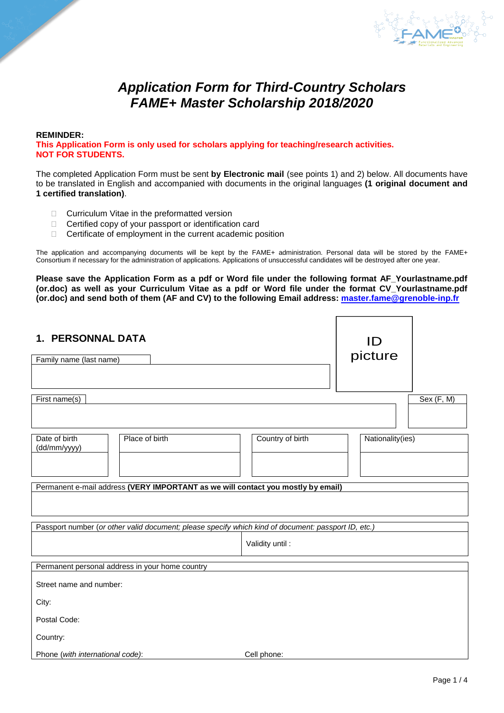

# *Application Form for Third-Country Scholars FAME+ Master Scholarship 2018/2020*

#### **REMINDER: This Application Form is only used for scholars applying for teaching/research activities. NOT FOR STUDENTS.**

The completed Application Form must be sent **by Electronic mail** (see points 1) and 2) below. All documents have to be translated in English and accompanied with documents in the original languages **(1 original document and 1 certified translation)**.

- $\Box$  Curriculum Vitae in the preformatted version
- □ Certified copy of your passport or identification card
- $\Box$  Certificate of employment in the current academic position

The application and accompanying documents will be kept by the FAME+ administration. Personal data will be stored by the FAME+ Consortium if necessary for the administration of applications. Applications of unsuccessful candidates will be destroyed after one year.

**Please save the Application Form as a pdf or Word file under the following format AF\_Yourlastname.pdf (or.doc) as well as your Curriculum Vitae as a pdf or Word file under the format CV\_Yourlastname.pdf (or.doc) and send both of them (AF and CV) to the following Email address: [master.fame@grenoble-inp.fr](mailto:master.fame@grenoble-inp.fr)**

| <b>1. PERSONNAL DATA</b>                                                                            | ID               |                  |            |  |  |  |  |
|-----------------------------------------------------------------------------------------------------|------------------|------------------|------------|--|--|--|--|
| Family name (last name)                                                                             | picture          |                  |            |  |  |  |  |
|                                                                                                     |                  |                  |            |  |  |  |  |
| First name(s)                                                                                       |                  |                  | Sex (F, M) |  |  |  |  |
|                                                                                                     |                  |                  |            |  |  |  |  |
| Place of birth<br>Date of birth<br>(dd/mm/yyyy)                                                     | Country of birth | Nationality(ies) |            |  |  |  |  |
|                                                                                                     |                  |                  |            |  |  |  |  |
| Permanent e-mail address (VERY IMPORTANT as we will contact you mostly by email)                    |                  |                  |            |  |  |  |  |
|                                                                                                     |                  |                  |            |  |  |  |  |
| Passport number (or other valid document; please specify which kind of document: passport ID, etc.) |                  |                  |            |  |  |  |  |
|                                                                                                     | Validity until:  |                  |            |  |  |  |  |
| Permanent personal address in your home country                                                     |                  |                  |            |  |  |  |  |
| Street name and number:                                                                             |                  |                  |            |  |  |  |  |
| City:                                                                                               |                  |                  |            |  |  |  |  |
| Postal Code:                                                                                        |                  |                  |            |  |  |  |  |
| Country:                                                                                            |                  |                  |            |  |  |  |  |
| Phone (with international code):                                                                    | Cell phone:      |                  |            |  |  |  |  |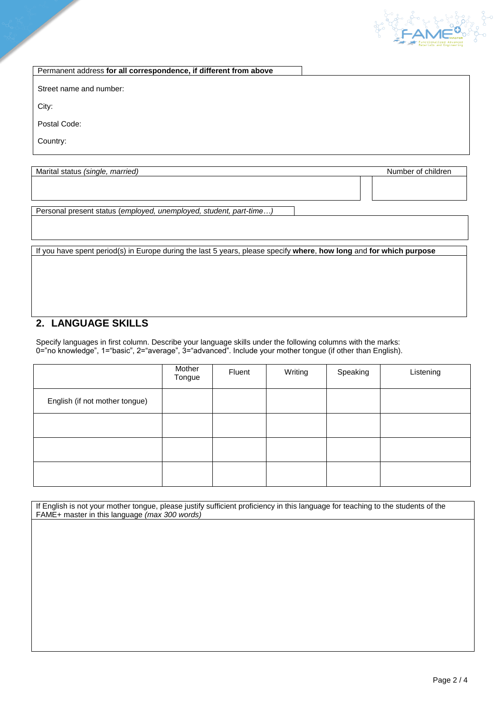

Permanent address **for all correspondence, if different from above**

Street name and number:

City:

Postal Code:

Country:

Marital status *(single, married)* Number of children

Personal present status (*employed, unemployed, student, part-time…)*

If you have spent period(s) in Europe during the last 5 years, please specify **where**, **how long** and **for which purpose**

# **2. LANGUAGE SKILLS**

Specify languages in first column. Describe your language skills under the following columns with the marks: 0="no knowledge", 1="basic", 2="average", 3="advanced". Include your mother tongue (if other than English).

|                                | Mother<br>Tongue | Fluent | Writing | Speaking | Listening |
|--------------------------------|------------------|--------|---------|----------|-----------|
| English (if not mother tongue) |                  |        |         |          |           |
|                                |                  |        |         |          |           |
|                                |                  |        |         |          |           |
|                                |                  |        |         |          |           |

If English is not your mother tongue, please justify sufficient proficiency in this language for teaching to the students of the FAME+ master in this language *(max 300 words)*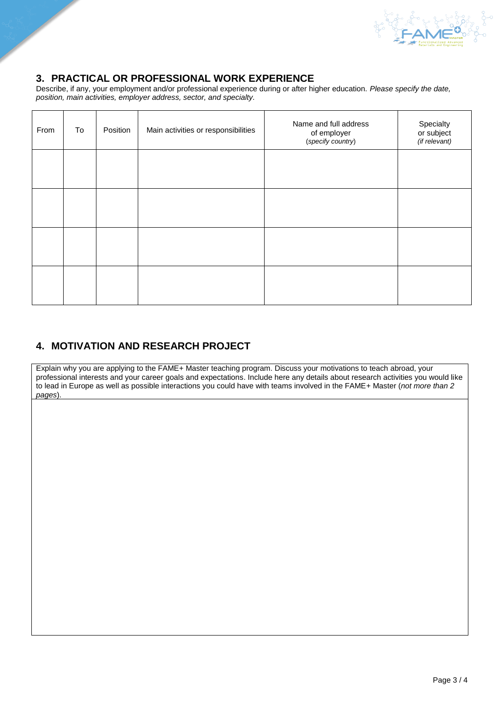

### **3. PRACTICAL OR PROFESSIONAL WORK EXPERIENCE**

Describe, if any, your employment and/or professional experience during or after higher education. *Please specify the date, position, main activities, employer address, sector, and specialty.*

| From | To | Position | Main activities or responsibilities | Name and full address<br>of employer<br>(specify country) | Specialty<br>or subject<br>(if relevant) |
|------|----|----------|-------------------------------------|-----------------------------------------------------------|------------------------------------------|
|      |    |          |                                     |                                                           |                                          |
|      |    |          |                                     |                                                           |                                          |
|      |    |          |                                     |                                                           |                                          |
|      |    |          |                                     |                                                           |                                          |

### **4. MOTIVATION AND RESEARCH PROJECT**

Explain why you are applying to the FAME+ Master teaching program. Discuss your motivations to teach abroad, your professional interests and your career goals and expectations. Include here any details about research activities you would like to lead in Europe as well as possible interactions you could have with teams involved in the FAME+ Master (*not more than 2 pages*).